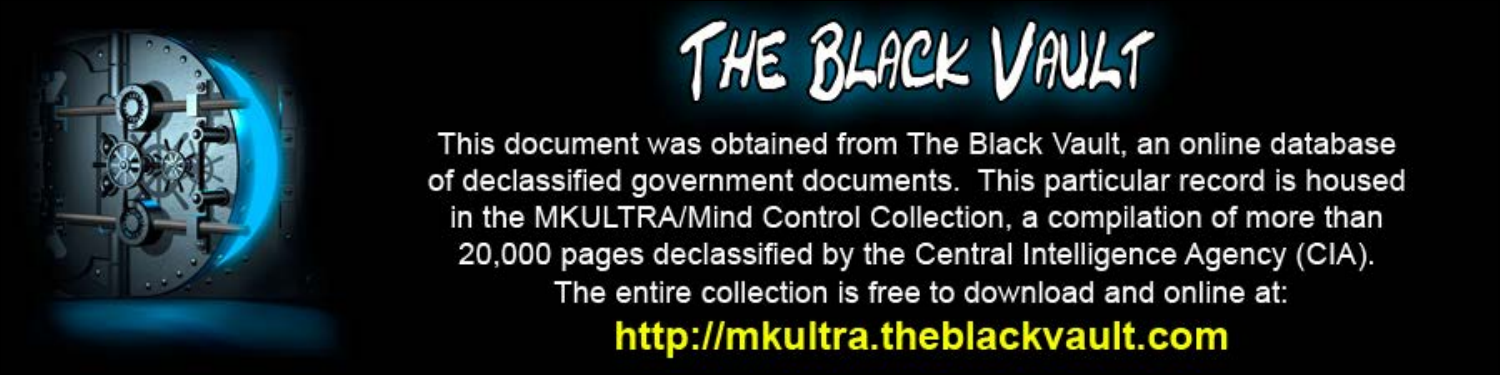

This document was obtained from The Black Vault, an online database of declassified government documents. This particular record is housed in the MKULTRA/Mind Control Collection, a compilation of more than 20,000 pages declassified by the Central Intelligence Agency (CIA). The entire collection is free to download and online at: http://mkultra.theblackvault.com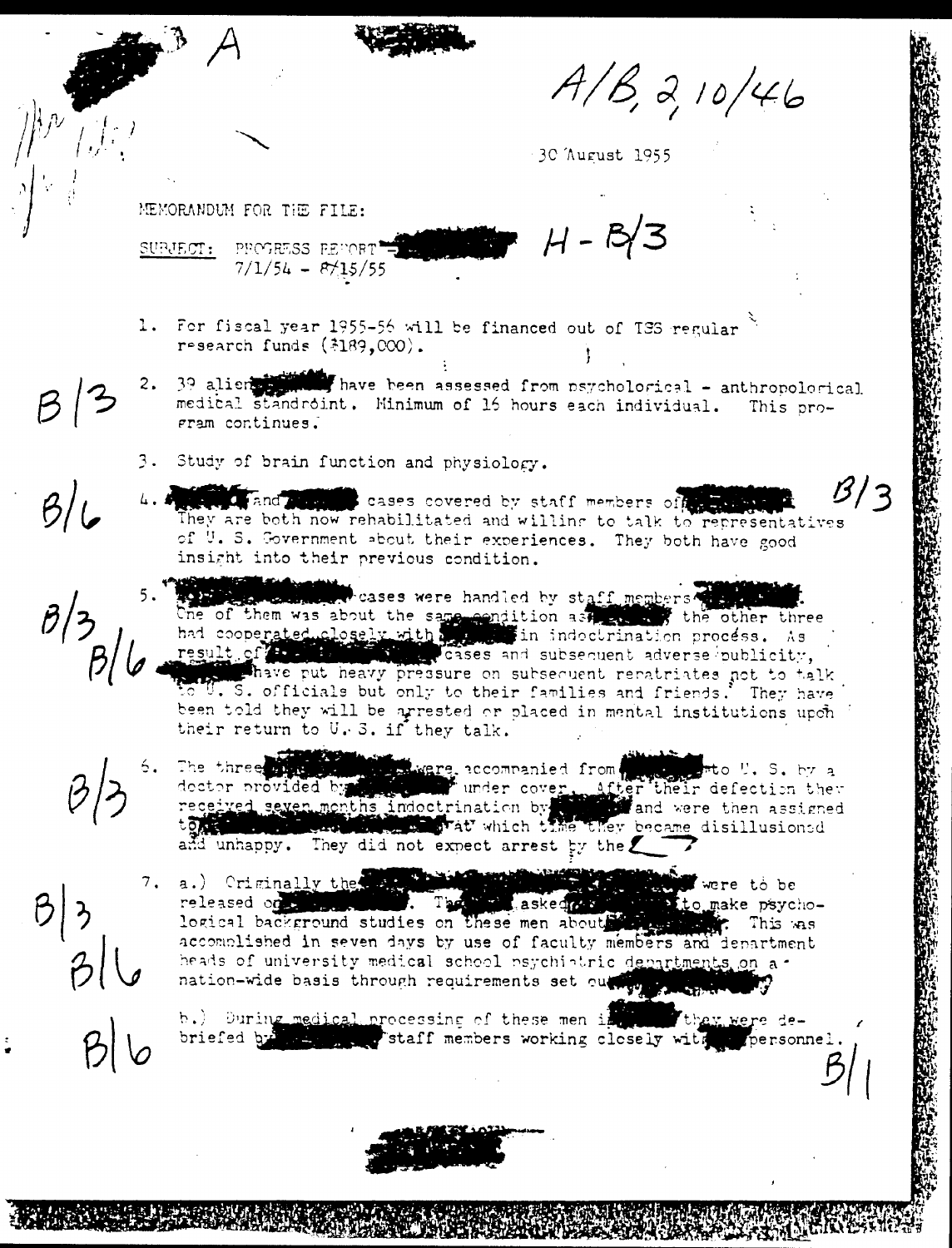$A/B, 2, 10/46$ 

30 August 1955

MEMORANDUM FOR THE FILE:

 $H - B/3$ PROGRESS PERORT SUPJECT:  $7/1/54 - 8/15/55$ 

- 1. For fiscal year 1955-56 will be financed out of TSS regular. research funds  $(*189,000)$ .
- that have been assessed from psychological anthropological 2.  $39$  alients medical standroint. Minimum of 16 hours each individual. This pro-Fram continues.
	- 3. Study of brain function and physiology.
	- 4. For and and cases covered by staff members of the staff They are both now rehabilitated and willing to talk to representatives of U.S. Government about their experiences. They both have good insight into their previous condition.
		- cases were handled by staff members to the of them was about the same condition as the other three had cooperated closely with the in indectrination process. As of the minimum cases and subsequent adverse publicity, U.S. officials but only to their families and friends.' They have been told they will be arrested or placed in mental institutions upon their return to U.S. if they talk.
			- The three is a second mere accommanied from their defection they dector provided by the under cover. After their defection they received seven months indoctrination by and were then assigned to the they became disillusione The three shape and unhappy. They did not expect arrest by the
		- 7. a.) Criminally the complete the state of the state of the state of the state of the state of the state of the state of the state of the state of the state of the state of the state of the state of the state of the state were to be . The masked of released of the studies on these men about the same psycho-locical background studies on these men about the same. This was released on a support accomplished in seven days by use of faculty members and department heads of university medical school psychiatric departments on anation-wide basis through requirements set out to the property

b.) During medical processing of these men in th<u>ey we</u>re debriefed by the measurements working closely with personnel.